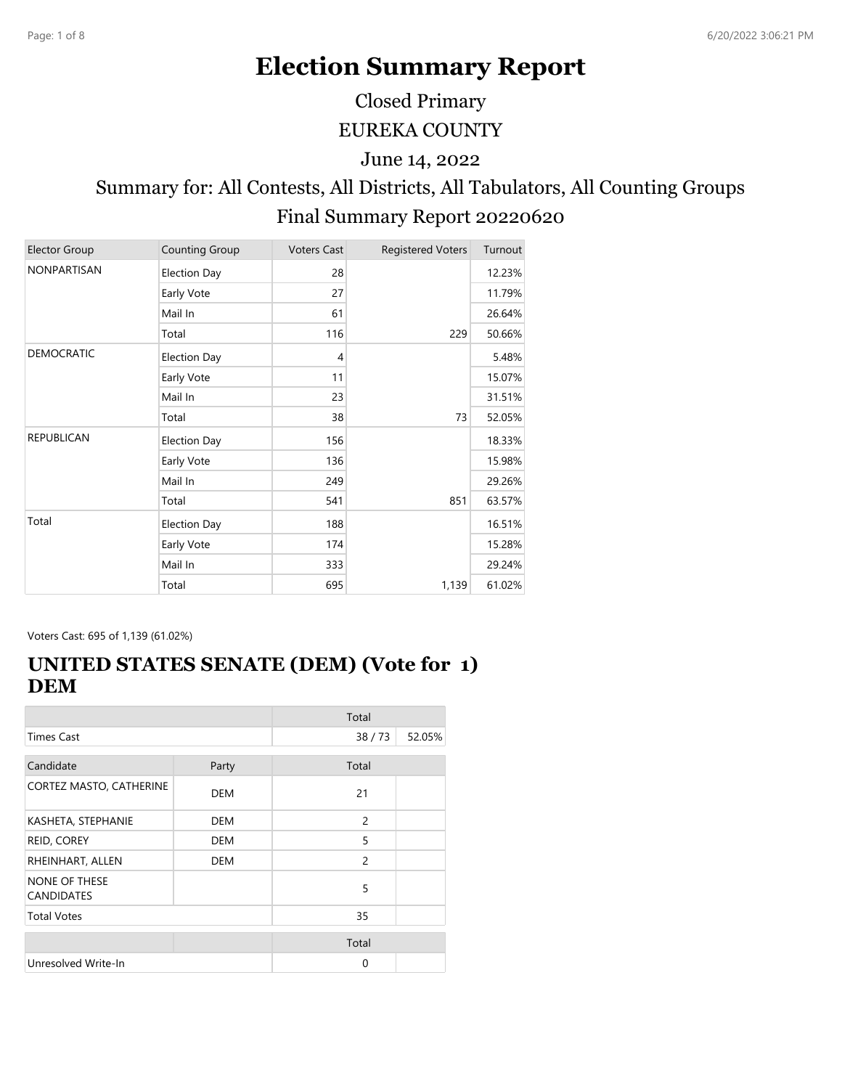# **Election Summary Report**

Closed Primary

EUREKA COUNTY

June 14, 2022

# Summary for: All Contests, All Districts, All Tabulators, All Counting Groups Final Summary Report 20220620

| <b>Elector Group</b> | Counting Group      | <b>Voters Cast</b> | <b>Registered Voters</b> | Turnout |
|----------------------|---------------------|--------------------|--------------------------|---------|
| NONPARTISAN          | <b>Election Day</b> | 28                 |                          | 12.23%  |
|                      | Early Vote          | 27                 |                          | 11.79%  |
|                      | Mail In             | 61                 |                          | 26.64%  |
|                      | Total               | 116                | 229                      | 50.66%  |
| <b>DEMOCRATIC</b>    | <b>Election Day</b> | 4                  |                          | 5.48%   |
|                      | Early Vote          | 11                 |                          | 15.07%  |
|                      | Mail In             | 23                 |                          | 31.51%  |
|                      | Total               | 38                 | 73                       | 52.05%  |
| <b>REPUBLICAN</b>    | Election Day        | 156                |                          | 18.33%  |
|                      | Early Vote          | 136                |                          | 15.98%  |
|                      | Mail In             | 249                |                          | 29.26%  |
|                      | Total               | 541                | 851                      | 63.57%  |
| Total                | Election Day        | 188                |                          | 16.51%  |
|                      | Early Vote          | 174                |                          | 15.28%  |
|                      | Mail In             | 333                |                          | 29.24%  |
|                      | Total               | 695                | 1,139                    | 61.02%  |

Voters Cast: 695 of 1,139 (61.02%)

#### **UNITED STATES SENATE (DEM) (Vote for 1) DEM**

|                                           |            | Total          |        |
|-------------------------------------------|------------|----------------|--------|
| <b>Times Cast</b>                         |            | 38/73          | 52.05% |
| Candidate                                 | Party      | Total          |        |
|                                           |            |                |        |
| CORTEZ MASTO, CATHERINE                   | <b>DEM</b> | 21             |        |
| KASHETA, STEPHANIE                        | <b>DEM</b> | $\overline{c}$ |        |
| REID, COREY                               | DEM        | 5              |        |
| RHEINHART, ALLEN                          | <b>DEM</b> | $\overline{c}$ |        |
| <b>NONE OF THESE</b><br><b>CANDIDATES</b> |            | 5              |        |
| <b>Total Votes</b>                        |            | 35             |        |
|                                           |            | Total          |        |
| Unresolved Write-In                       |            | 0              |        |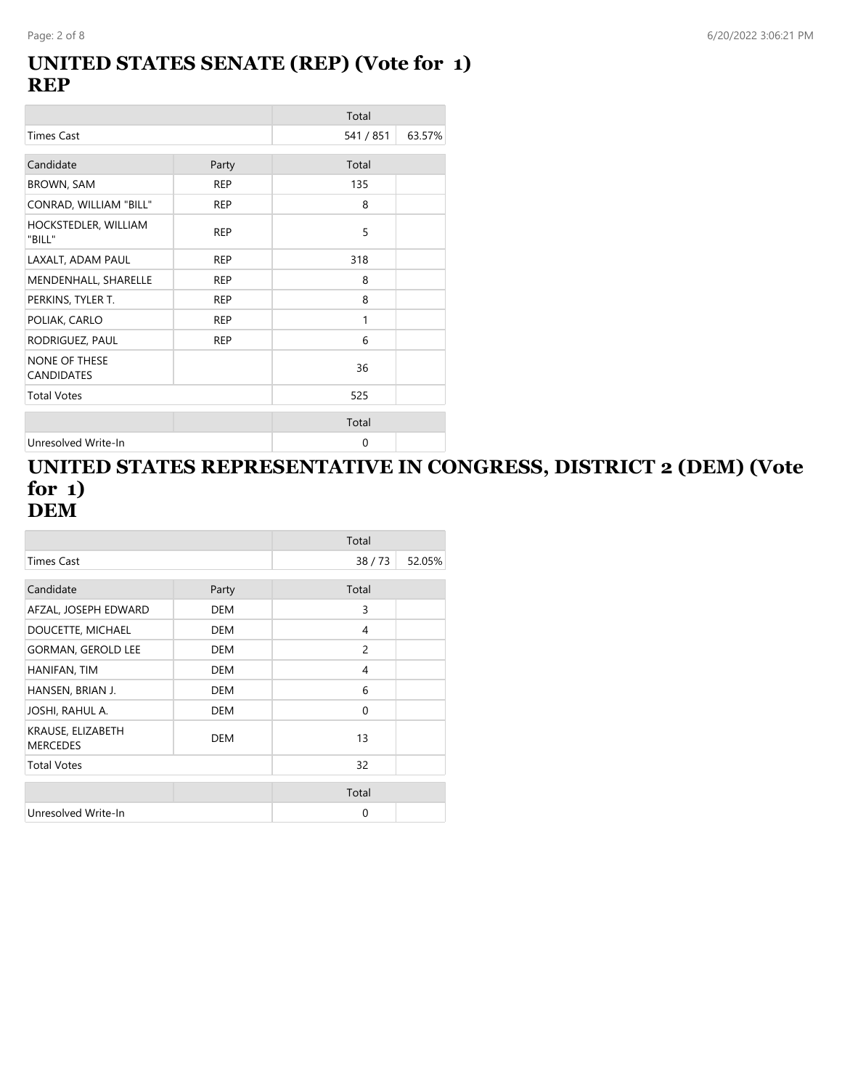#### **UNITED STATES SENATE (REP) (Vote for 1) REP**

|                                           |            | Total     |        |
|-------------------------------------------|------------|-----------|--------|
| <b>Times Cast</b>                         |            | 541 / 851 | 63.57% |
| Candidate                                 | Party      | Total     |        |
| <b>BROWN, SAM</b>                         | <b>REP</b> | 135       |        |
| CONRAD, WILLIAM "BILL"                    | <b>REP</b> | 8         |        |
| HOCKSTEDLER, WILLIAM<br>"BILL"            | <b>REP</b> | 5         |        |
| LAXALT, ADAM PAUL                         | <b>REP</b> | 318       |        |
| MENDENHALL, SHARELLE                      | <b>REP</b> | 8         |        |
| PERKINS, TYLER T.                         | <b>REP</b> | 8         |        |
| POLIAK, CARLO                             | <b>REP</b> | 1         |        |
| RODRIGUEZ, PAUL                           | <b>REP</b> | 6         |        |
| <b>NONE OF THESE</b><br><b>CANDIDATES</b> |            | 36        |        |
| <b>Total Votes</b>                        |            | 525       |        |
|                                           |            | Total     |        |
| Unresolved Write-In                       |            | 0         |        |

#### **UNITED STATES REPRESENTATIVE IN CONGRESS, DISTRICT 2 (DEM) (Vote for 1) DEM**

|                                      |            | Total          |        |
|--------------------------------------|------------|----------------|--------|
| Times Cast                           |            | 38/73          | 52.05% |
| Candidate                            | Party      | Total          |        |
| AFZAL, JOSEPH EDWARD                 | <b>DEM</b> | 3              |        |
| DOUCETTE, MICHAEL                    | <b>DEM</b> | 4              |        |
| <b>GORMAN, GEROLD LEE</b>            | <b>DEM</b> | $\overline{c}$ |        |
| HANIFAN, TIM                         | <b>DEM</b> | 4              |        |
| HANSEN, BRIAN J.                     | <b>DEM</b> | 6              |        |
| JOSHI, RAHUL A.                      | <b>DEM</b> | $\mathbf{0}$   |        |
| KRAUSE, ELIZABETH<br><b>MERCEDES</b> | <b>DEM</b> | 13             |        |
| <b>Total Votes</b>                   |            | 32             |        |
|                                      |            | Total          |        |
| Unresolved Write-In                  |            | 0              |        |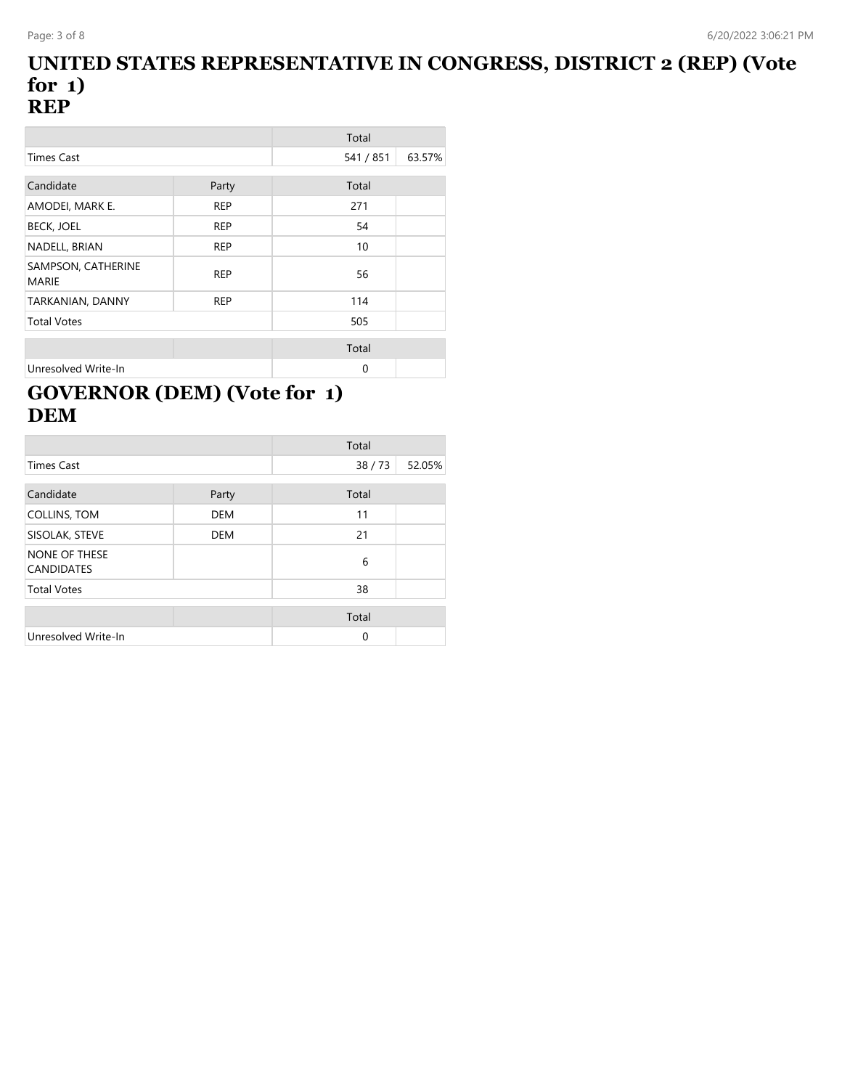#### **UNITED STATES REPRESENTATIVE IN CONGRESS, DISTRICT 2 (REP) (Vote for 1) REP**

|                                    |            | Total     |        |
|------------------------------------|------------|-----------|--------|
| <b>Times Cast</b>                  |            | 541 / 851 | 63.57% |
|                                    |            |           |        |
| Candidate                          | Party      | Total     |        |
| AMODEI, MARK E.                    | <b>REP</b> | 271       |        |
| <b>BECK, JOEL</b>                  | <b>REP</b> | 54        |        |
| NADELL, BRIAN                      | <b>REP</b> | 10        |        |
| SAMPSON, CATHERINE<br><b>MARIE</b> | <b>REP</b> | 56        |        |
| TARKANIAN, DANNY                   | <b>REP</b> | 114       |        |
| <b>Total Votes</b>                 |            | 505       |        |
|                                    |            | Total     |        |
| Unresolved Write-In                |            | $\Omega$  |        |

### **GOVERNOR (DEM) (Vote for 1) DEM**

|                                           |            | Total    |        |
|-------------------------------------------|------------|----------|--------|
| <b>Times Cast</b>                         |            | 38/73    | 52.05% |
| Candidate                                 | Party      | Total    |        |
| COLLINS, TOM                              | <b>DEM</b> | 11       |        |
| SISOLAK, STEVE                            | <b>DEM</b> | 21       |        |
| <b>NONE OF THESE</b><br><b>CANDIDATES</b> |            | 6        |        |
| <b>Total Votes</b>                        |            | 38       |        |
|                                           |            | Total    |        |
| Unresolved Write-In                       |            | $\Omega$ |        |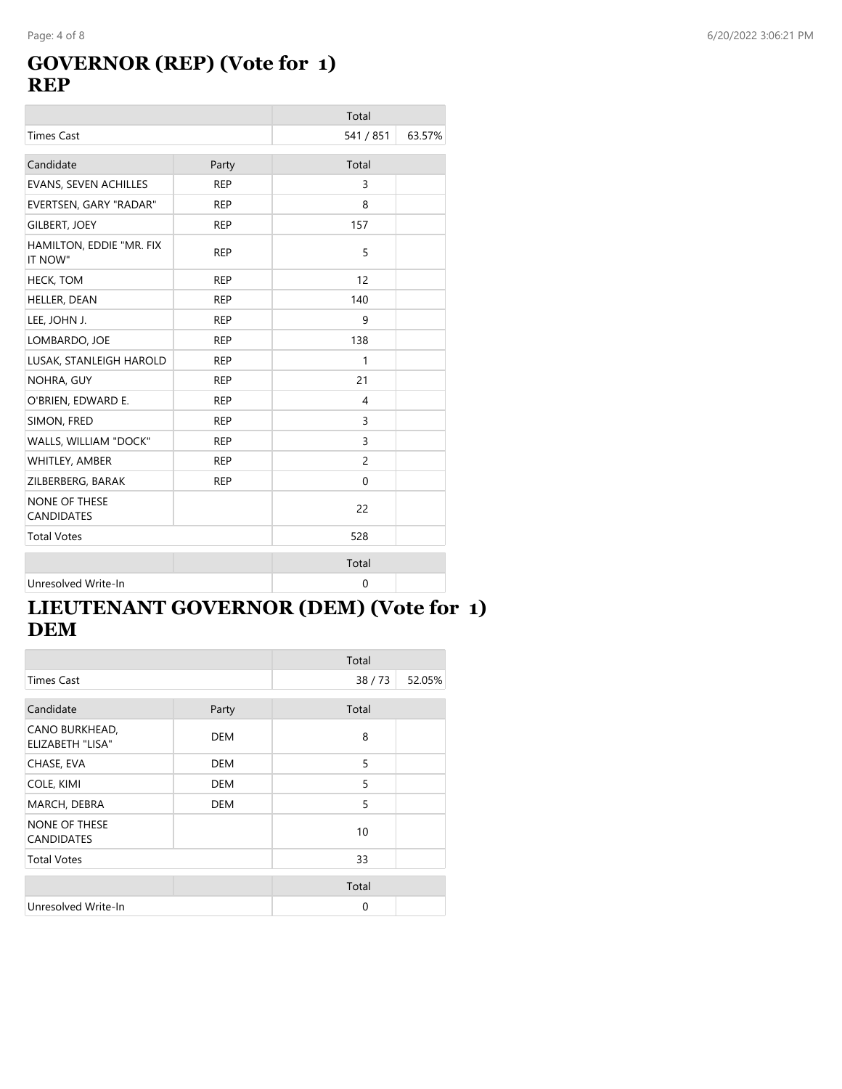### **GOVERNOR (REP) (Vote for 1) REP**

|                                           |            | Total          |        |
|-------------------------------------------|------------|----------------|--------|
| <b>Times Cast</b>                         |            | 541 / 851      | 63.57% |
| Candidate                                 | Party      | Total          |        |
| <b>EVANS, SEVEN ACHILLES</b>              | <b>REP</b> | 3              |        |
| EVERTSEN, GARY "RADAR"                    | <b>REP</b> | 8              |        |
| <b>GILBERT, JOEY</b>                      | <b>REP</b> | 157            |        |
| HAMILTON, EDDIE "MR. FIX<br>IT NOW"       | <b>REP</b> | 5              |        |
| <b>HECK, TOM</b>                          | <b>REP</b> | 12             |        |
| HELLER, DEAN                              | <b>REP</b> | 140            |        |
| LEE, JOHN J.                              | <b>REP</b> | 9              |        |
| LOMBARDO, JOE                             | <b>REP</b> | 138            |        |
| LUSAK, STANLEIGH HAROLD                   | <b>REP</b> | 1              |        |
| NOHRA, GUY                                | <b>REP</b> | 21             |        |
| O'BRIEN, EDWARD E.                        | <b>REP</b> | $\overline{4}$ |        |
| SIMON, FRED                               | <b>REP</b> | 3              |        |
| WALLS, WILLIAM "DOCK"                     | <b>REP</b> | 3              |        |
| WHITLEY, AMBER                            | <b>REP</b> | $\overline{c}$ |        |
| ZILBERBERG, BARAK                         | <b>REP</b> | $\mathbf{0}$   |        |
| <b>NONE OF THESE</b><br><b>CANDIDATES</b> |            | 22             |        |
| <b>Total Votes</b>                        |            | 528            |        |
|                                           |            | Total          |        |
| Unresolved Write-In                       |            | $\mathbf 0$    |        |

### **LIEUTENANT GOVERNOR (DEM) (Vote for 1) DEM**

|                                           |            | Total       |        |
|-------------------------------------------|------------|-------------|--------|
| <b>Times Cast</b>                         |            | 38/73       | 52.05% |
| Candidate                                 | Party      | Total       |        |
| CANO BURKHEAD,<br><b>ELIZABETH "LISA"</b> | <b>DEM</b> | 8           |        |
| CHASE, EVA                                | <b>DEM</b> | 5           |        |
| COLE, KIMI                                | <b>DEM</b> | 5           |        |
| MARCH, DEBRA                              | <b>DEM</b> | 5           |        |
| <b>NONE OF THESE</b><br><b>CANDIDATES</b> |            | 10          |        |
| <b>Total Votes</b>                        |            | 33          |        |
|                                           |            | Total       |        |
| Unresolved Write-In                       |            | $\mathbf 0$ |        |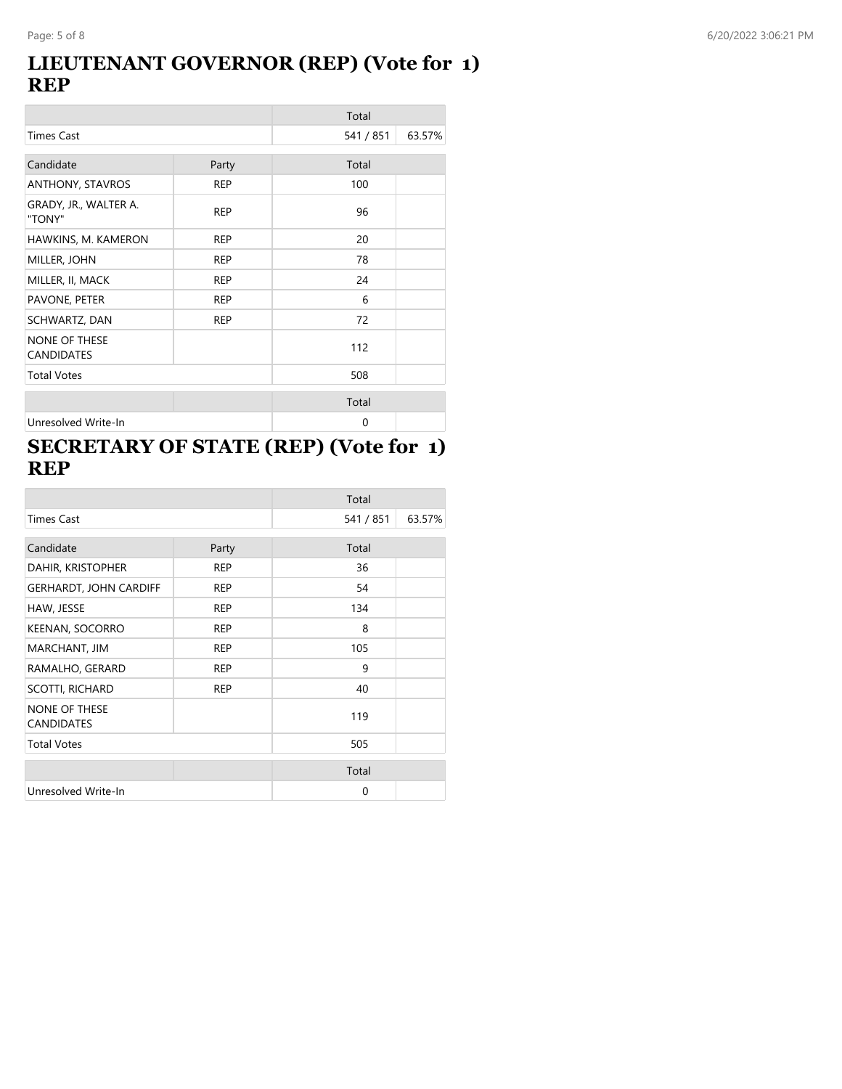#### **LIEUTENANT GOVERNOR (REP) (Vote for 1) REP**

|                                           |            | Total     |        |
|-------------------------------------------|------------|-----------|--------|
| <b>Times Cast</b>                         |            | 541 / 851 | 63.57% |
| Candidate                                 | Party      | Total     |        |
| ANTHONY, STAVROS                          | <b>REP</b> | 100       |        |
| GRADY, JR., WALTER A.<br>"TONY"           | <b>REP</b> | 96        |        |
| HAWKINS, M. KAMERON                       | <b>REP</b> | 20        |        |
| MILLER, JOHN                              | <b>REP</b> | 78        |        |
| MILLER, II, MACK                          | <b>REP</b> | 24        |        |
| PAVONE, PETER                             | <b>REP</b> | 6         |        |
| SCHWARTZ, DAN                             | <b>REP</b> | 72        |        |
| <b>NONE OF THESE</b><br><b>CANDIDATES</b> |            | 112       |        |
| <b>Total Votes</b>                        |            | 508       |        |
|                                           |            | Total     |        |
| Unresolved Write-In                       |            | 0         |        |

### **SECRETARY OF STATE (REP) (Vote for 1) REP**

|                                           |            | Total     |        |
|-------------------------------------------|------------|-----------|--------|
| <b>Times Cast</b>                         |            | 541 / 851 | 63.57% |
| Candidate                                 | Party      | Total     |        |
| DAHIR, KRISTOPHER                         | <b>REP</b> | 36        |        |
| <b>GERHARDT, JOHN CARDIFF</b>             | <b>REP</b> | 54        |        |
| HAW, JESSE                                | <b>REP</b> | 134       |        |
| KEENAN, SOCORRO                           | <b>REP</b> | 8         |        |
| MARCHANT, JIM                             | <b>REP</b> | 105       |        |
| RAMALHO, GERARD                           | <b>REP</b> | 9         |        |
| <b>SCOTTI, RICHARD</b>                    | <b>REP</b> | 40        |        |
| <b>NONE OF THESE</b><br><b>CANDIDATES</b> |            | 119       |        |
| <b>Total Votes</b>                        |            | 505       |        |
|                                           |            | Total     |        |
| Unresolved Write-In                       |            | 0         |        |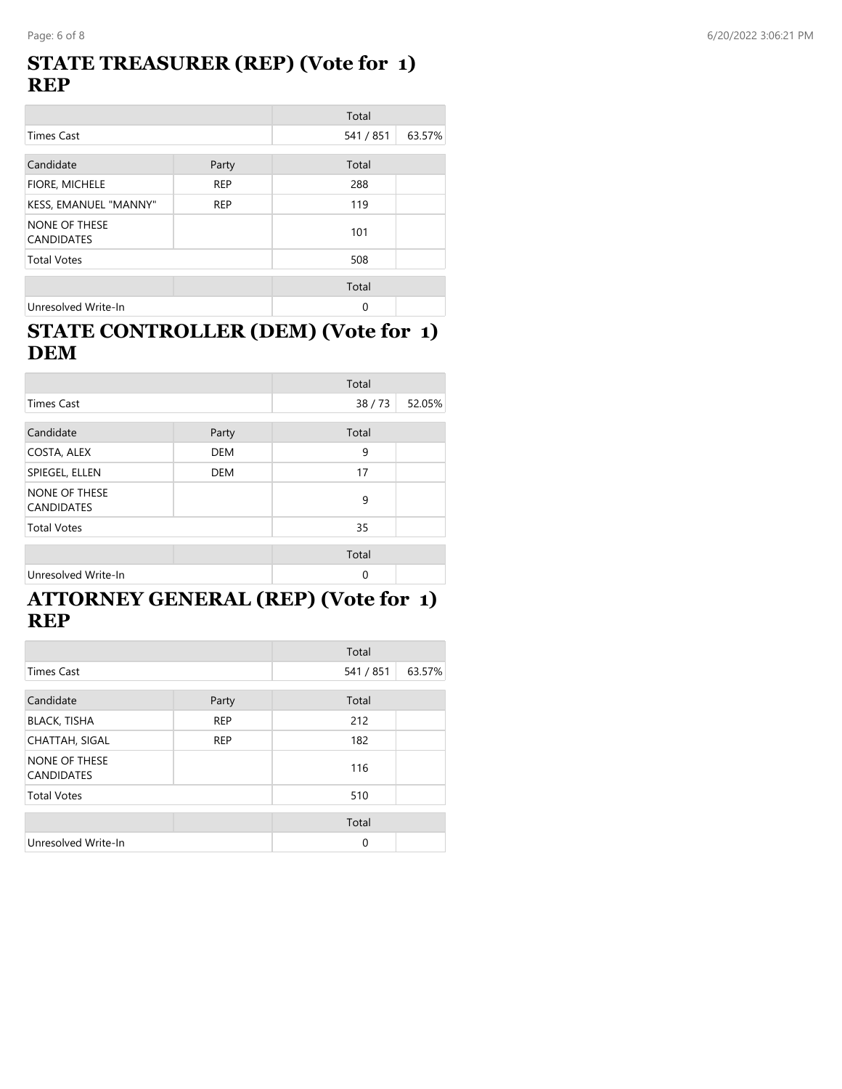#### **STATE TREASURER (REP) (Vote for 1) REP**

|                                           |            | Total     |        |
|-------------------------------------------|------------|-----------|--------|
| <b>Times Cast</b>                         |            | 541 / 851 | 63.57% |
| Candidate                                 | Party      | Total     |        |
| FIORE, MICHELE                            | <b>REP</b> | 288       |        |
| KESS, EMANUEL "MANNY"                     | <b>REP</b> | 119       |        |
| <b>NONE OF THESE</b><br><b>CANDIDATES</b> |            | 101       |        |
| <b>Total Votes</b>                        |            | 508       |        |
|                                           |            | Total     |        |
| Unresolved Write-In                       |            | 0         |        |

#### **STATE CONTROLLER (DEM) (Vote for 1) DEM**

|                                    |            | Total    |        |
|------------------------------------|------------|----------|--------|
| <b>Times Cast</b>                  |            | 38/73    | 52.05% |
| Candidate                          | Party      | Total    |        |
| COSTA, ALEX                        | <b>DEM</b> | 9        |        |
| SPIEGEL, ELLEN                     | <b>DEM</b> | 17       |        |
| NONE OF THESE<br><b>CANDIDATES</b> |            | 9        |        |
| <b>Total Votes</b>                 |            | 35       |        |
|                                    |            | Total    |        |
| Unresolved Write-In                |            | $\Omega$ |        |

#### **ATTORNEY GENERAL (REP) (Vote for 1) REP**

|                                    |            | Total       |        |
|------------------------------------|------------|-------------|--------|
| <b>Times Cast</b>                  |            | 541 / 851   | 63.57% |
| Candidate                          | Party      | Total       |        |
| <b>BLACK, TISHA</b>                | <b>REP</b> | 212         |        |
| <b>CHATTAH, SIGAL</b>              | <b>REP</b> | 182         |        |
| NONE OF THESE<br><b>CANDIDATES</b> |            | 116         |        |
| <b>Total Votes</b>                 |            | 510         |        |
|                                    |            | Total       |        |
| Unresolved Write-In                |            | $\mathbf 0$ |        |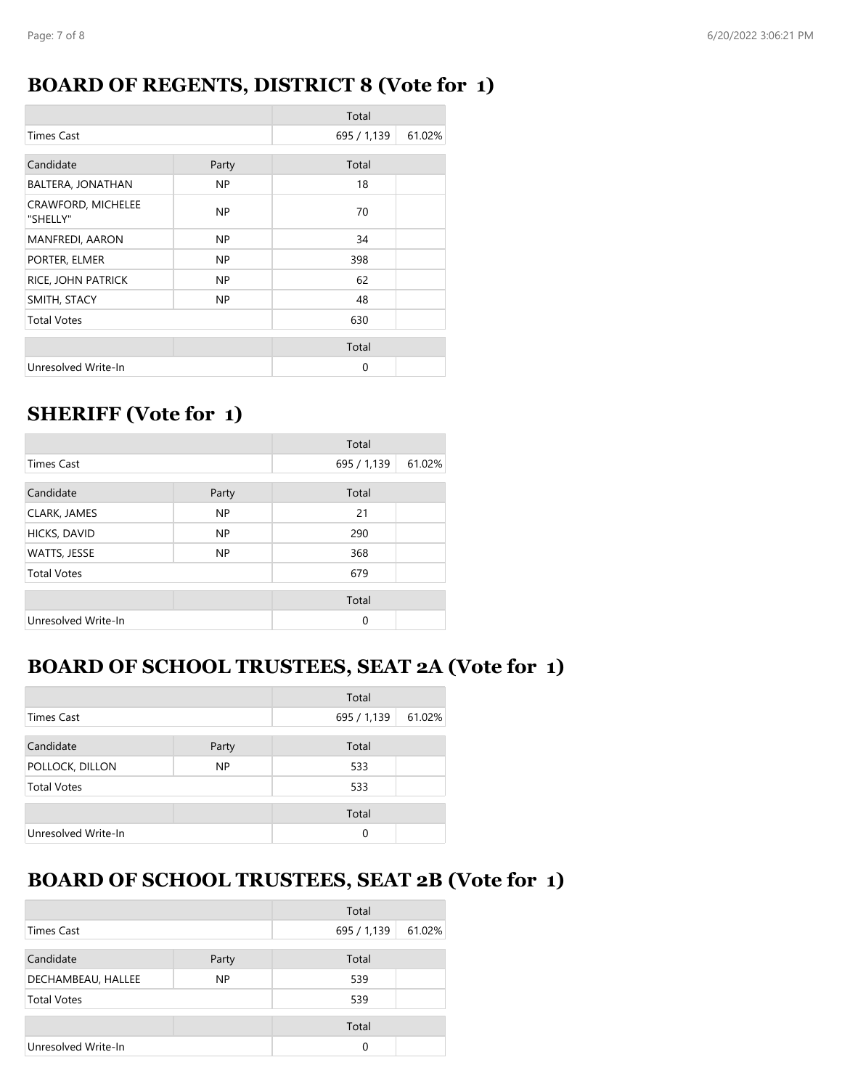#### **BOARD OF REGENTS, DISTRICT 8 (Vote for 1)**

|                                |       | Total       |        |
|--------------------------------|-------|-------------|--------|
| <b>Times Cast</b>              |       | 695 / 1,139 | 61.02% |
| Candidate                      | Party | Total       |        |
| BALTERA, JONATHAN              | NP.   | 18          |        |
| CRAWFORD, MICHELEE<br>"SHELLY" | NP.   | 70          |        |
| <b>MANFREDI, AARON</b>         | NP.   | 34          |        |
| PORTER, ELMER                  | NP.   | 398         |        |
| RICE, JOHN PATRICK             | NP.   | 62          |        |
| SMITH, STACY                   | NP.   | 48          |        |
| <b>Total Votes</b>             |       | 630         |        |
|                                |       | Total       |        |
| Unresolved Write-In            |       | 0           |        |

# **SHERIFF (Vote for 1)**

|                     |           | Total       |        |
|---------------------|-----------|-------------|--------|
| <b>Times Cast</b>   |           | 695 / 1,139 | 61.02% |
| Candidate           | Party     | Total       |        |
| CLARK, JAMES        | <b>NP</b> | 21          |        |
| HICKS, DAVID        | <b>NP</b> | 290         |        |
| WATTS, JESSE        | NP        | 368         |        |
| <b>Total Votes</b>  |           | 679         |        |
|                     |           | Total       |        |
| Unresolved Write-In |           | $\Omega$    |        |

### **BOARD OF SCHOOL TRUSTEES, SEAT 2A (Vote for 1)**

|                     |           | Total       |        |
|---------------------|-----------|-------------|--------|
| <b>Times Cast</b>   |           | 695 / 1,139 | 61.02% |
| Candidate           | Party     | Total       |        |
| POLLOCK, DILLON     | <b>NP</b> | 533         |        |
| <b>Total Votes</b>  |           | 533         |        |
|                     |           | Total       |        |
| Unresolved Write-In |           | $\Omega$    |        |

# **BOARD OF SCHOOL TRUSTEES, SEAT 2B (Vote for 1)**

|                     |       | Total       |        |
|---------------------|-------|-------------|--------|
| <b>Times Cast</b>   |       | 695 / 1,139 | 61.02% |
| Candidate           | Party | Total       |        |
| DECHAMBEAU, HALLEE  | NP.   | 539         |        |
| <b>Total Votes</b>  |       | 539         |        |
|                     |       | Total       |        |
| Unresolved Write-In |       | 0           |        |